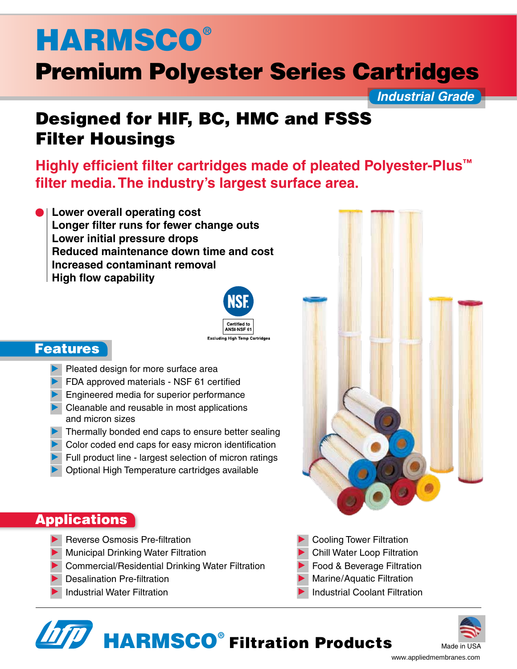# **HARMSCO®**

## Premium Polyester Series Cartridges

*Industrial Grade*

### Designed for HIF, BC, HMC and FSSS Filter Housings

**Highly efficient filter cartridges made of pleated Polyester-Plus™ filter media. The industry's largest surface area.**

**Lower overall operating cost Longer filter runs for fewer change outs Lower initial pressure drops Reduced maintenance down time and cost Increased contaminant removal High flow capability**



#### Features

- Pleated design for more surface area
- **FDA approved materials NSF 61 certified**
- **Engineered media for superior performance**
- $\blacktriangleright$  Cleanable and reusable in most applications and micron sizes
- Thermally bonded end caps to ensure better sealing
- Color coded end caps for easy micron identification
- Full product line largest selection of micron ratings
- Optional High Temperature cartridges available

#### **Applications**

- Reverse Osmosis Pre-filtration
- **Municipal Drinking Water Filtration**
- **D** Commercial/Residential Drinking Water Filtration
- **Desalination Pre-filtration**
- 

Cooling Tower Filtration

- Chill Water Loop Filtration
- Food & Beverage Filtration
- Marine/Aquatic Filtration
- Industrial Water Filtration **Industrial Coolant Filtration**





Distributed By: Applied Membranes, Inc. www.appliedmembranes.com